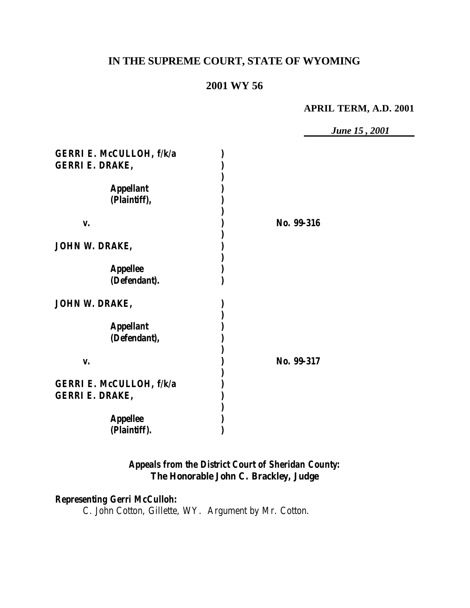# **IN THE SUPREME COURT, STATE OF WYOMING**

# **2001 WY 56**

**APRIL TERM, A.D. 2001**

*June 15 , 2001*

| <b>GERRI E. McCULLOH, f/k/a</b> |            |
|---------------------------------|------------|
| <b>GERRI E. DRAKE,</b>          |            |
|                                 |            |
| <i><b>Appellant</b></i>         |            |
| (Plaintiff),                    |            |
|                                 |            |
| V.                              | No. 99-316 |
|                                 |            |
| <b>JOHN W. DRAKE,</b>           |            |
|                                 |            |
| <b>Appellee</b>                 |            |
| (Defendant).                    |            |
| JOHN W. DRAKE,                  |            |
|                                 |            |
| <b>Appellant</b>                |            |
| (Defendant),                    |            |
|                                 |            |
| V.                              | No. 99-317 |
|                                 |            |
| <b>GERRI E. McCULLOH, f/k/a</b> |            |
| <b>GERRI E. DRAKE,</b>          |            |
|                                 |            |
| <b>Appellee</b>                 |            |
| (Plaintiff).                    |            |

# *Appeals from the District Court of Sheridan County:* **The Honorable John C. Brackley, Judge**

### *Representing Gerri McCulloh:*

C. John Cotton, Gillette, WY. Argument by Mr. Cotton.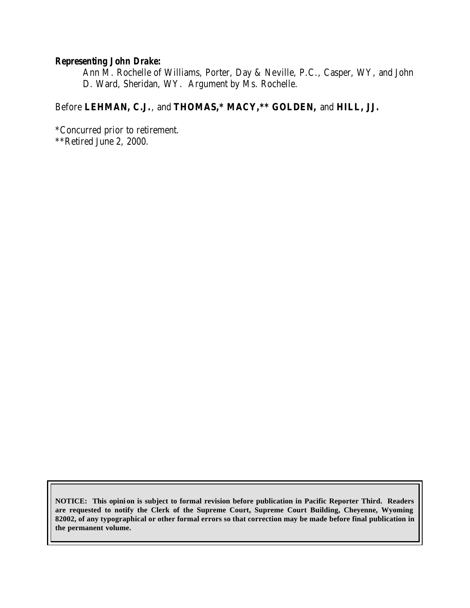#### *Representing John Drake:*

Ann M. Rochelle of Williams, Porter, Day & Neville, P.C., Casper, WY, and John D. Ward, Sheridan, WY. Argument by Ms. Rochelle.

# Before **LEHMAN, C.J.**, and **THOMAS,\* MACY,\*\* GOLDEN,** and **HILL, JJ.**

\*Concurred prior to retirement. \*\*Retired June 2, 2000.

**NOTICE: This opini on is subject to formal revision before publication in Pacific Reporter Third. Readers are requested to notify the Clerk of the Supreme Court, Supreme Court Building, Cheyenne, Wyoming 82002, of any typographical or other formal errors so that correction may be made before final publication in the permanent volume.**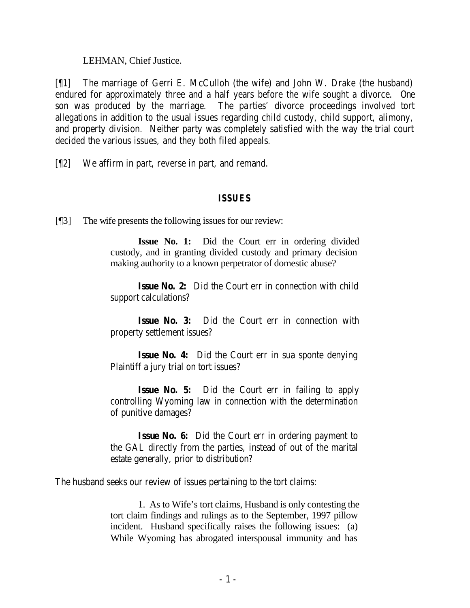LEHMAN, Chief Justice.

[¶1] The marriage of Gerri E. McCulloh (the wife) and John W. Drake (the husband) endured for approximately three and a half years before the wife sought a divorce. One son was produced by the marriage. The parties' divorce proceedings involved tort allegations in addition to the usual issues regarding child custody, child support, alimony, and property division. Neither party was completely satisfied with the way the trial court decided the various issues, and they both filed appeals.

[¶2] We affirm in part, reverse in part, and remand.

#### *ISSUES*

[¶3] The wife presents the following issues for our review:

**Issue No. 1:** Did the Court err in ordering divided custody, and in granting divided custody and primary decision making authority to a known perpetrator of domestic abuse?

**Issue No. 2:** Did the Court err in connection with child support calculations?

**Issue No. 3:** Did the Court err in connection with property settlement issues?

**Issue No. 4:** Did the Court err in sua sponte denying Plaintiff a jury trial on tort issues?

**Issue No. 5:** Did the Court err in failing to apply controlling Wyoming law in connection with the determination of punitive damages?

**Issue No. 6:** Did the Court err in ordering payment to the GAL directly from the parties, instead of out of the marital estate generally, prior to distribution?

The husband seeks our review of issues pertaining to the tort claims:

1. As to Wife's tort claims, Husband is only contesting the tort claim findings and rulings as to the September, 1997 pillow incident. Husband specifically raises the following issues: (a) While Wyoming has abrogated interspousal immunity and has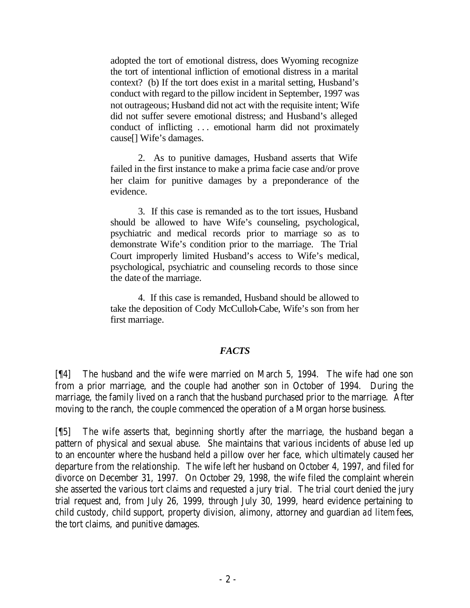adopted the tort of emotional distress, does Wyoming recognize the tort of intentional infliction of emotional distress in a marital context? (b) If the tort does exist in a marital setting, Husband's conduct with regard to the pillow incident in September, 1997 was not outrageous; Husband did not act with the requisite intent; Wife did not suffer severe emotional distress; and Husband's alleged conduct of inflicting . . . emotional harm did not proximately cause[] Wife's damages.

2. As to punitive damages, Husband asserts that Wife failed in the first instance to make a prima facie case and/or prove her claim for punitive damages by a preponderance of the evidence.

3. If this case is remanded as to the tort issues, Husband should be allowed to have Wife's counseling, psychological, psychiatric and medical records prior to marriage so as to demonstrate Wife's condition prior to the marriage. The Trial Court improperly limited Husband's access to Wife's medical, psychological, psychiatric and counseling records to those since the date of the marriage.

4. If this case is remanded, Husband should be allowed to take the deposition of Cody McCulloh-Cabe, Wife's son from her first marriage.

#### *FACTS*

[¶4] The husband and the wife were married on March 5, 1994. The wife had one son from a prior marriage, and the couple had another son in October of 1994. During the marriage, the family lived on a ranch that the husband purchased prior to the marriage. After moving to the ranch, the couple commenced the operation of a Morgan horse business.

[¶5] The wife asserts that, beginning shortly after the marriage, the husband began a pattern of physical and sexual abuse. She maintains that various incidents of abuse led up to an encounter where the husband held a pillow over her face, which ultimately caused her departure from the relationship. The wife left her husband on October 4, 1997, and filed for divorce on December 31, 1997. On October 29, 1998, the wife filed the complaint wherein she asserted the various tort claims and requested a jury trial. The trial court denied the jury trial request and, from July 26, 1999, through July 30, 1999, heard evidence pertaining to child custody, child support, property division, alimony, attorney and guardian *ad litem* fees, the tort claims, and punitive damages.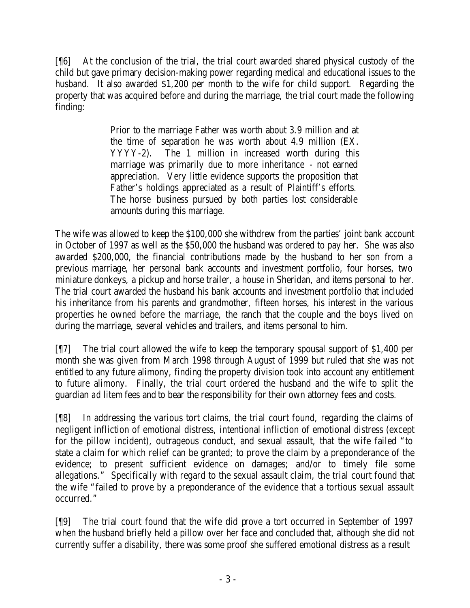[¶6] At the conclusion of the trial, the trial court awarded shared physical custody of the child but gave primary decision-making power regarding medical and educational issues to the husband. It also awarded \$1,200 per month to the wife for child support. Regarding the property that was acquired before and during the marriage, the trial court made the following finding:

> Prior to the marriage Father was worth about 3.9 million and at the time of separation he was worth about 4.9 million (EX. YYYY-2). The 1 million in increased worth during this marriage was primarily due to more inheritance - not earned appreciation. Very little evidence supports the proposition that Father's holdings appreciated as a result of Plaintiff's efforts. The horse business pursued by both parties lost considerable amounts during this marriage.

The wife was allowed to keep the \$100,000 she withdrew from the parties' joint bank account in October of 1997 as well as the \$50,000 the husband was ordered to pay her. She was also awarded \$200,000, the financial contributions made by the husband to her son from a previous marriage, her personal bank accounts and investment portfolio, four horses, two miniature donkeys, a pickup and horse trailer, a house in Sheridan, and items personal to her. The trial court awarded the husband his bank accounts and investment portfolio that included his inheritance from his parents and grandmother, fifteen horses, his interest in the various properties he owned before the marriage, the ranch that the couple and the boys lived on during the marriage, several vehicles and trailers, and items personal to him.

[¶7] The trial court allowed the wife to keep the temporary spousal support of \$1,400 per month she was given from March 1998 through August of 1999 but ruled that she was not entitled to any future alimony, finding the property division took into account any entitlement to future alimony. Finally, the trial court ordered the husband and the wife to split the guardian *ad litem* fees and to bear the responsibility for their own attorney fees and costs.

[¶8] In addressing the various tort claims, the trial court found, regarding the claims of negligent infliction of emotional distress, intentional infliction of emotional distress (except for the pillow incident), outrageous conduct, and sexual assault, that the wife failed "to state a claim for which relief can be granted; to prove the claim by a preponderance of the evidence; to present sufficient evidence on damages; and/or to timely file some allegations." Specifically with regard to the sexual assault claim, the trial court found that the wife "failed to prove by a preponderance of the evidence that a tortious sexual assault occurred."

[¶9] The trial court found that the wife did prove a tort occurred in September of 1997 when the husband briefly held a pillow over her face and concluded that, although she did not currently suffer a disability, there was some proof she suffered emotional distress as a result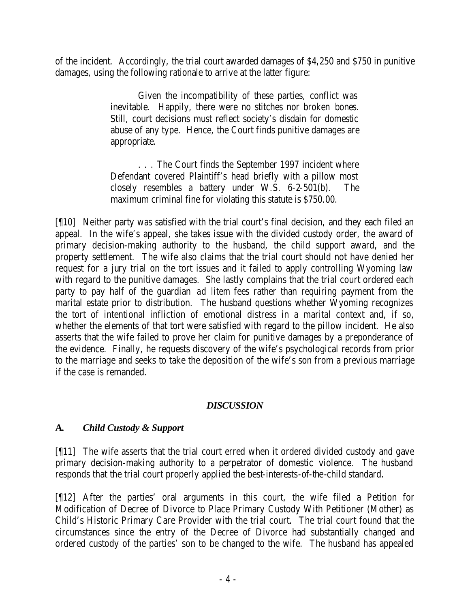of the incident. Accordingly, the trial court awarded damages of \$4,250 and \$750 in punitive damages, using the following rationale to arrive at the latter figure:

> Given the incompatibility of these parties, conflict was inevitable. Happily, there were no stitches nor broken bones. Still, court decisions must reflect society's disdain for domestic abuse of any type. Hence, the Court finds punitive damages are appropriate.

> . . . The Court finds the September 1997 incident where Defendant covered Plaintiff's head briefly with a pillow most closely resembles a battery under W.S. 6-2-501(b). The maximum criminal fine for violating this statute is \$750.00.

[¶10] Neither party was satisfied with the trial court's final decision, and they each filed an appeal. In the wife's appeal, she takes issue with the divided custody order, the award of primary decision-making authority to the husband, the child support award, and the property settlement. The wife also claims that the trial court should not have denied her request for a jury trial on the tort issues and it failed to apply controlling Wyoming law with regard to the punitive damages. She lastly complains that the trial court ordered each party to pay half of the guardian *ad litem* fees rather than requiring payment from the marital estate prior to distribution. The husband questions whether Wyoming recognizes the tort of intentional infliction of emotional distress in a marital context and, if so, whether the elements of that tort were satisfied with regard to the pillow incident. He also asserts that the wife failed to prove her claim for punitive damages by a preponderance of the evidence. Finally, he requests discovery of the wife's psychological records from prior to the marriage and seeks to take the deposition of the wife's son from a previous marriage if the case is remanded.

#### *DISCUSSION*

#### **A.** *Child Custody & Support*

[¶11] The wife asserts that the trial court erred when it ordered divided custody and gave primary decision-making authority to a perpetrator of domestic violence. The husband responds that the trial court properly applied the best-interests-of-the-child standard.

[¶12] After the parties' oral arguments in this court, the wife filed a Petition for Modification of Decree of Divorce to Place Primary Custody With Petitioner (Mother) as Child's Historic Primary Care Provider with the trial court. The trial court found that the circumstances since the entry of the Decree of Divorce had substantially changed and ordered custody of the parties' son to be changed to the wife. The husband has appealed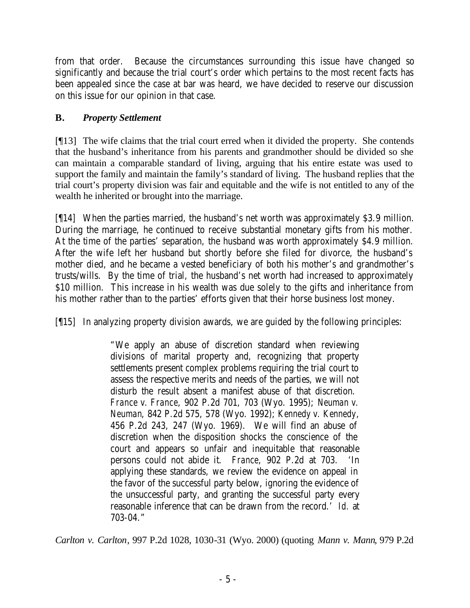from that order. Because the circumstances surrounding this issue have changed so significantly and because the trial court's order which pertains to the most recent facts has been appealed since the case at bar was heard, we have decided to reserve our discussion on this issue for our opinion in that case.

### **B.** *Property Settlement*

[¶13] The wife claims that the trial court erred when it divided the property. She contends that the husband's inheritance from his parents and grandmother should be divided so she can maintain a comparable standard of living, arguing that his entire estate was used to support the family and maintain the family's standard of living. The husband replies that the trial court's property division was fair and equitable and the wife is not entitled to any of the wealth he inherited or brought into the marriage.

[¶14] When the parties married, the husband's net worth was approximately \$3.9 million. During the marriage, he continued to receive substantial monetary gifts from his mother. At the time of the parties' separation, the husband was worth approximately \$4.9 million. After the wife left her husband but shortly before she filed for divorce, the husband's mother died, and he became a vested beneficiary of both his mother's and grandmother's trusts/wills. By the time of trial, the husband's net worth had increased to approximately \$10 million. This increase in his wealth was due solely to the gifts and inheritance from his mother rather than to the parties' efforts given that their horse business lost money.

[¶15] In analyzing property division awards, we are guided by the following principles:

"We apply an abuse of discretion standard when reviewing divisions of marital property and, recognizing that property settlements present complex problems requiring the trial court to assess the respective merits and needs of the parties, we will not disturb the result absent a manifest abuse of that discretion. *France v. France*, 902 P.2d 701, 703 (Wyo. 1995); *Neuman v. Neuman*, 842 P.2d 575, 578 (Wyo. 1992); *Kennedy v. Kennedy*, 456 P.2d 243, 247 (Wyo. 1969). We will find an abuse of discretion when the disposition shocks the conscience of the court and appears so unfair and inequitable that reasonable persons could not abide it. *France*, 902 P.2d at 703. applying these standards, we review the evidence on appeal in the favor of the successful party below, ignoring the evidence of the unsuccessful party, and granting the successful party every reasonable inference that can be drawn from the record.' *Id.* at 703-04."

*Carlton v. Carlton*, 997 P.2d 1028, 1030-31 (Wyo. 2000) (quoting *Mann v. Mann*, 979 P.2d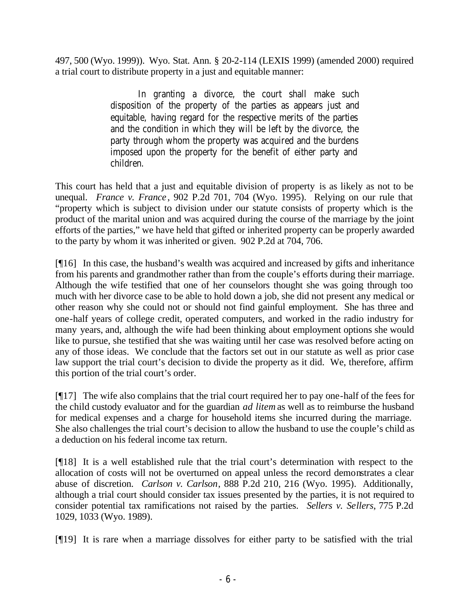497, 500 (Wyo. 1999)). Wyo. Stat. Ann. § 20-2-114 (LEXIS 1999) (amended 2000) required a trial court to distribute property in a just and equitable manner:

> In granting a divorce, the court shall make such disposition of the property of the parties as appears just and equitable, having regard for the respective merits of the parties and the condition in which they will be left by the divorce, the party through whom the property was acquired and the burdens imposed upon the property for the benefit of either party and children.

This court has held that a just and equitable division of property is as likely as not to be unequal. *France v. France*, 902 P.2d 701, 704 (Wyo. 1995). Relying on our rule that "property which is subject to division under our statute consists of property which is the product of the marital union and was acquired during the course of the marriage by the joint efforts of the parties," we have held that gifted or inherited property can be properly awarded to the party by whom it was inherited or given. 902 P.2d at 704, 706.

[¶16] In this case, the husband's wealth was acquired and increased by gifts and inheritance from his parents and grandmother rather than from the couple's efforts during their marriage. Although the wife testified that one of her counselors thought she was going through too much with her divorce case to be able to hold down a job, she did not present any medical or other reason why she could not or should not find gainful employment. She has three and one-half years of college credit, operated computers, and worked in the radio industry for many years, and, although the wife had been thinking about employment options she would like to pursue, she testified that she was waiting until her case was resolved before acting on any of those ideas. We conclude that the factors set out in our statute as well as prior case law support the trial court's decision to divide the property as it did. We, therefore, affirm this portion of the trial court's order.

[¶17] The wife also complains that the trial court required her to pay one-half of the fees for the child custody evaluator and for the guardian *ad litem* as well as to reimburse the husband for medical expenses and a charge for household items she incurred during the marriage. She also challenges the trial court's decision to allow the husband to use the couple's child as a deduction on his federal income tax return.

[¶18] It is a well established rule that the trial court's determination with respect to the allocation of costs will not be overturned on appeal unless the record demonstrates a clear abuse of discretion. *Carlson v. Carlson*, 888 P.2d 210, 216 (Wyo. 1995). Additionally, although a trial court should consider tax issues presented by the parties, it is not required to consider potential tax ramifications not raised by the parties. *Sellers v. Sellers*, 775 P.2d 1029, 1033 (Wyo. 1989).

[¶19] It is rare when a marriage dissolves for either party to be satisfied with the trial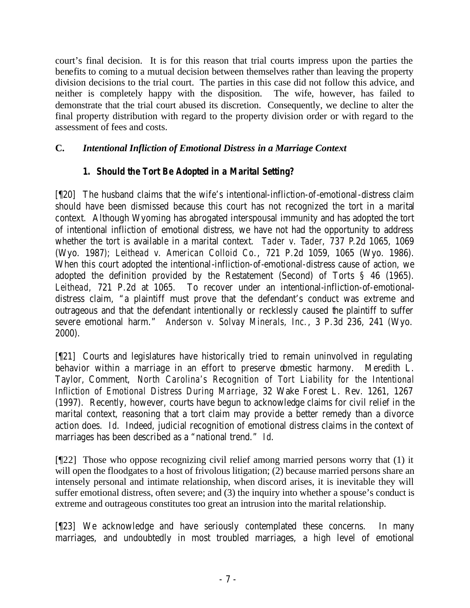court's final decision. It is for this reason that trial courts impress upon the parties the benefits to coming to a mutual decision between themselves rather than leaving the property division decisions to the trial court. The parties in this case did not follow this advice, and neither is completely happy with the disposition. The wife, however, has failed to demonstrate that the trial court abused its discretion. Consequently, we decline to alter the final property distribution with regard to the property division order or with regard to the assessment of fees and costs.

# **C.** *Intentional Infliction of Emotional Distress in a Marriage Context*

# *1. Should the Tort Be Adopted in a Marital Setting?*

[¶20] The husband claims that the wife's intentional-infliction-of-emotional-distress claim should have been dismissed because this court has not recognized the tort in a marital context. Although Wyoming has abrogated interspousal immunity and has adopted the tort of intentional infliction of emotional distress, we have not had the opportunity to address whether the tort is available in a marital context. *Tader v. Tader*, 737 P.2d 1065, 1069 (Wyo. 1987*); Leithead v. American Colloid Co*., 721 P.2d 1059, 1065 (Wyo. 1986). When this court adopted the intentional-infliction-of-emotional-distress cause of action, we adopted the definition provided by the Restatement (Second) of Torts § 46 (1965). *Leithead*, 721 P.2d at 1065. To recover under an intentional-infliction-of-emotionaldistress claim, "a plaintiff must prove that the defendant's conduct was extreme and outrageous and that the defendant intentionally or recklessly caused the plaintiff to suffer severe emotional harm." *Anderson v. Solvay Minerals, Inc.*, 3 P.3d 236, 241 (Wyo. 2000).

[¶21] Courts and legislatures have historically tried to remain uninvolved in regulating behavior within a marriage in an effort to preserve domestic harmony. Meredith L. Taylor, Comment, *North Carolina's Recognition of Tort Liability for the Intentional Infliction of Emotional Distress During Marriage*, 32 Wake Forest L. Rev. 1261, 1267 (1997). Recently, however, courts have begun to acknowledge claims for civil relief in the marital context, reasoning that a tort claim may provide a better remedy than a divorce action does. *Id*. Indeed, judicial recognition of emotional distress claims in the context of marriages has been described as a "national trend." *Id*.

[¶22] Those who oppose recognizing civil relief among married persons worry that (1) it will open the floodgates to a host of frivolous litigation; (2) because married persons share an intensely personal and intimate relationship, when discord arises, it is inevitable they will suffer emotional distress, often severe; and (3) the inquiry into whether a spouse's conduct is extreme and outrageous constitutes too great an intrusion into the marital relationship.

[¶23] We acknowledge and have seriously contemplated these concerns. In many marriages, and undoubtedly in most troubled marriages, a high level of emotional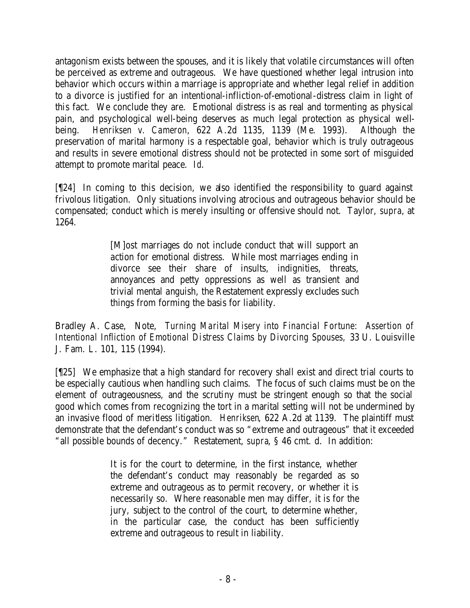antagonism exists between the spouses, and it is likely that volatile circumstances will often be perceived as extreme and outrageous. We have questioned whether legal intrusion into behavior which occurs within a marriage is appropriate and whether legal relief in addition to a divorce is justified for an intentional-infliction-of-emotional-distress claim in light of this fact. We conclude they are. Emotional distress is as real and tormenting as physical pain, and psychological well-being deserves as much legal protection as physical wellbeing. *Henriksen v. Cameron*, 622 A.2d 1135, 1139 (Me. 1993). Although the preservation of marital harmony is a respectable goal, behavior which is truly outrageous and results in severe emotional distress should not be protected in some sort of misguided attempt to promote marital peace. *Id*.

[¶24] In coming to this decision, we also identified the responsibility to guard against frivolous litigation. Only situations involving atrocious and outrageous behavior should be compensated; conduct which is merely insulting or offensive should not. Taylor, *supra*, at 1264.

> [M]ost marriages do not include conduct that will support an action for emotional distress. While most marriages ending in divorce see their share of insults, indignities, threats, annoyances and petty oppressions as well as transient and trivial mental anguish, the Restatement expressly excludes such things from forming the basis for liability.

Bradley A. Case, Note, *Turning Marital Misery into Financial Fortune: Assertion of Intentional Infliction of Emotional Distress Claims by Divorcing Spouses,* 33 U. Louisville J. Fam. L. 101, 115 (1994).

[¶25] We emphasize that a high standard for recovery shall exist and direct trial courts to be especially cautious when handling such claims. The focus of such claims must be on the element of outrageousness, and the scrutiny must be stringent enough so that the social good which comes from recognizing the tort in a marital setting will not be undermined by an invasive flood of meritless litigation. *Henriksen*, 622 A.2d at 1139. The plaintiff must demonstrate that the defendant's conduct was so "extreme and outrageous" that it exceeded "all possible bounds of decency." Restatement, *supra*, § 46 cmt. d. In addition:

> It is for the court to determine, in the first instance, whether the defendant's conduct may reasonably be regarded as so extreme and outrageous as to permit recovery, or whether it is necessarily so. Where reasonable men may differ, it is for the jury, subject to the control of the court, to determine whether, in the particular case, the conduct has been sufficiently extreme and outrageous to result in liability.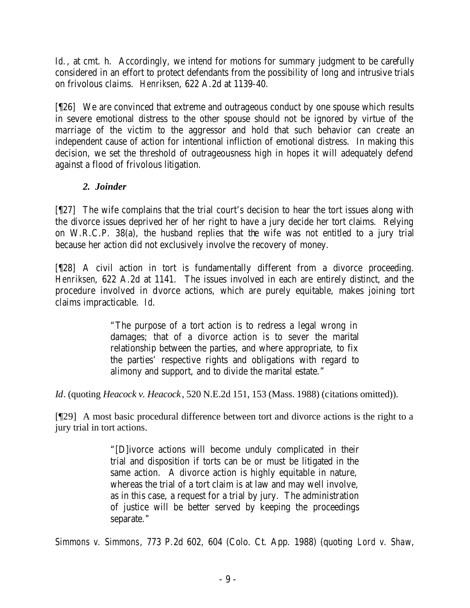Id., at cmt. h. Accordingly, we intend for motions for summary judgment to be carefully considered in an effort to protect defendants from the possibility of long and intrusive trials on frivolous claims. *Henriksen*, 622 A.2d at 1139-40.

[¶26] We are convinced that extreme and outrageous conduct by one spouse which results in severe emotional distress to the other spouse should not be ignored by virtue of the marriage of the victim to the aggressor and hold that such behavior can create an independent cause of action for intentional infliction of emotional distress. In making this decision, we set the threshold of outrageousness high in hopes it will adequately defend against a flood of frivolous litigation.

# *2. Joinder*

[¶27] The wife complains that the trial court's decision to hear the tort issues along with the divorce issues deprived her of her right to have a jury decide her tort claims. Relying on W.R.C.P. 38(a), the husband replies that the wife was not entitled to a jury trial because her action did not exclusively involve the recovery of money.

[¶28] A civil action in tort is fundamentally different from a divorce proceeding. *Henriksen*, 622 A.2d at 1141. The issues involved in each are entirely distinct, and the procedure involved in dvorce actions, which are purely equitable, makes joining tort claims impracticable. *Id*.

> "The purpose of a tort action is to redress a legal wrong in damages; that of a divorce action is to sever the marital relationship between the parties, and where appropriate, to fix the parties' respective rights and obligations with regard to alimony and support, and to divide the marital estate."

*Id*. (quoting *Heacock v. Heacock*, 520 N.E.2d 151, 153 (Mass. 1988) (citations omitted)).

[¶29] A most basic procedural difference between tort and divorce actions is the right to a jury trial in tort actions.

> "[D]ivorce actions will become unduly complicated in their trial and disposition if torts can be or must be litigated in the same action. A divorce action is highly equitable in nature, whereas the trial of a tort claim is at law and may well involve, as in this case, a request for a trial by jury. The administration of justice will be better served by keeping the proceedings separate."

*Simmons v. Simmons*, 773 P.2d 602, 604 (Colo. Ct. App. 1988) (quoting *Lord v. Shaw*,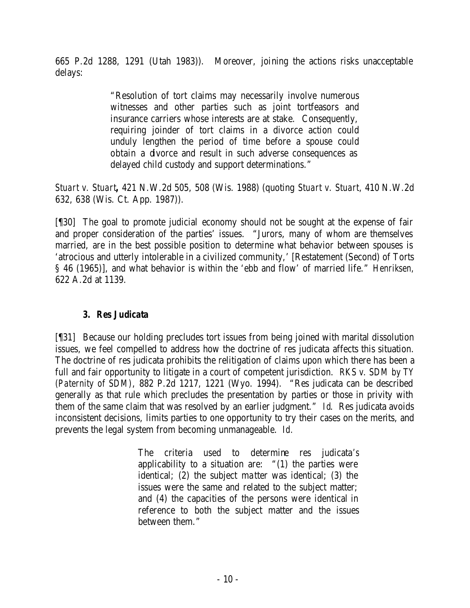665 P.2d 1288, 1291 (Utah 1983)). Moreover, joining the actions risks unacceptable delays:

> "Resolution of tort claims may necessarily involve numerous witnesses and other parties such as joint tortfeasors and insurance carriers whose interests are at stake. Consequently, requiring joinder of tort claims in a divorce action could unduly lengthen the period of time before a spouse could obtain a divorce and result in such adverse consequences as delayed child custody and support determinations."

*Stuart v. Stuart***,** 421 N.W.2d 505, 508 (Wis. 1988) (quoting *Stuart v. Stuart*, 410 N.W.2d 632, 638 (Wis. Ct. App. 1987)).

[¶30] The goal to promote judicial economy should not be sought at the expense of fair and proper consideration of the parties' issues. "Jurors, many of whom are themselves married, are in the best possible position to determine what behavior between spouses is 'atrocious and utterly intolerable in a civilized community,' [Restatement (Second) of Torts § 46 (1965)], and what behavior is within the 'ebb and flow' of married life." *Henriksen,* 622 A.2d at 1139.

#### *3. Res Judicata*

[¶31] Because our holding precludes tort issues from being joined with marital dissolution issues, we feel compelled to address how the doctrine of res judicata affects this situation. The doctrine of res judicata prohibits the relitigation of claims upon which there has been a full and fair opportunity to litigate in a court of competent jurisdiction. *RKS v. SDM by TY (Paternity of SDM)*, 882 P.2d 1217, 1221 (Wyo. 1994). "Res judicata can be described generally as that rule which precludes the presentation by parties or those in privity with them of the same claim that was resolved by an earlier judgment." *Id*. Res judicata avoids inconsistent decisions, limits parties to one opportunity to try their cases on the merits, and prevents the legal system from becoming unmanageable. *Id.*

> The criteria used to determine res judicata*'s* applicability to a situation are: "(1) the parties were identical; (2) the subject matter was identical; (3) the issues were the same and related to the subject matter; and (4) the capacities of the persons were identical in reference to both the subject matter and the issues between them."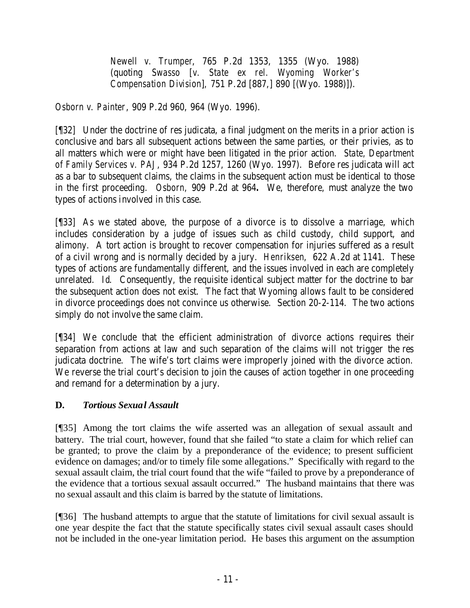*Newell v. Trumper*, 765 P.2d 1353, 1355 (Wyo. 1988) (quoting *Swasso* [*v. State ex rel. Wyoming Worker's Compensation Division*]*,* 751 P.2d [887,] 890 [(Wyo. 1988)]).

*Osborn v. Painter*, 909 P.2d 960, 964 (Wyo. 1996).

[¶32] Under the doctrine of res judicata, a final judgment on the merits in a prior action is conclusive and bars all subsequent actions between the same parties, or their privies, as to all matters which were or might have been litigated in the prior action. *State, Department of Family Services v. PAJ*, 934 P.2d 1257, 1260 (Wyo. 1997). Before res judicata will act as a bar to subsequent claims, the claims in the subsequent action must be identical to those in the first proceeding. *Osborn,* 909 P.2d at 964*.* We, therefore, must analyze the two types of actions involved in this case.

[¶33] As we stated above, the purpose of a divorce is to dissolve a marriage, which includes consideration by a judge of issues such as child custody, child support, and alimony. A tort action is brought to recover compensation for injuries suffered as a result of a civil wrong and is normally decided by a jury. *Henriksen*, 622 A.2d at 1141. These types of actions are fundamentally different, and the issues involved in each are completely unrelated. *Id*. Consequently, the requisite identical subject matter for the doctrine to bar the subsequent action does not exist. The fact that Wyoming allows fault to be considered in divorce proceedings does not convince us otherwise. Section 20-2-114. The two actions simply do not involve the same claim.

[¶34] We conclude that the efficient administration of divorce actions requires their separation from actions at law and such separation of the claims will not trigger the res judicata doctrine. The wife's tort claims were improperly joined with the divorce action. We reverse the trial court's decision to join the causes of action together in one proceeding and remand for a determination by a jury.

# **D.** *Tortious Sexual Assault*

[¶35] Among the tort claims the wife asserted was an allegation of sexual assault and battery. The trial court, however, found that she failed "to state a claim for which relief can be granted; to prove the claim by a preponderance of the evidence; to present sufficient evidence on damages; and/or to timely file some allegations." Specifically with regard to the sexual assault claim, the trial court found that the wife "failed to prove by a preponderance of the evidence that a tortious sexual assault occurred." The husband maintains that there was no sexual assault and this claim is barred by the statute of limitations.

[¶36] The husband attempts to argue that the statute of limitations for civil sexual assault is one year despite the fact that the statute specifically states civil sexual assault cases should not be included in the one-year limitation period. He bases this argument on the assumption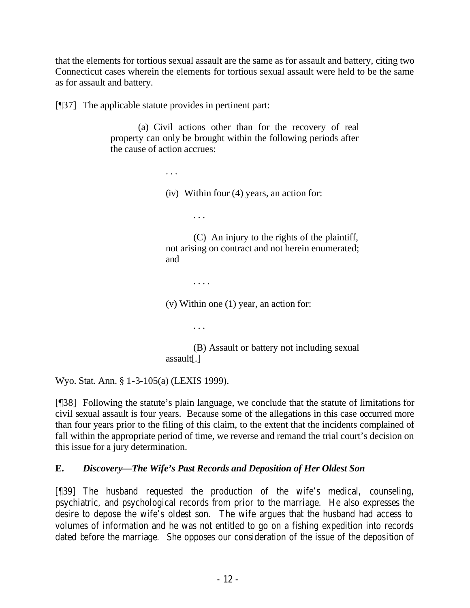that the elements for tortious sexual assault are the same as for assault and battery, citing two Connecticut cases wherein the elements for tortious sexual assault were held to be the same as for assault and battery.

[¶37] The applicable statute provides in pertinent part:

(a) Civil actions other than for the recovery of real property can only be brought within the following periods after the cause of action accrues:

> . . . (iv) Within four (4) years, an action for:

> > . . .

. . . .

. . .

(C) An injury to the rights of the plaintiff, not arising on contract and not herein enumerated; and

(v) Within one (1) year, an action for:

(B) Assault or battery not including sexual assault[.]

Wyo. Stat. Ann. § 1-3-105(a) (LEXIS 1999).

[¶38] Following the statute's plain language, we conclude that the statute of limitations for civil sexual assault is four years. Because some of the allegations in this case occurred more than four years prior to the filing of this claim, to the extent that the incidents complained of fall within the appropriate period of time, we reverse and remand the trial court's decision on this issue for a jury determination.

# **E.** *Discovery—The Wife's Past Records and Deposition of Her Oldest Son*

[¶39] The husband requested the production of the wife's medical, counseling, psychiatric, and psychological records from prior to the marriage. He also expresses the desire to depose the wife's oldest son. The wife argues that the husband had access to volumes of information and he was not entitled to go on a fishing expedition into records dated before the marriage. She opposes our consideration of the issue of the deposition of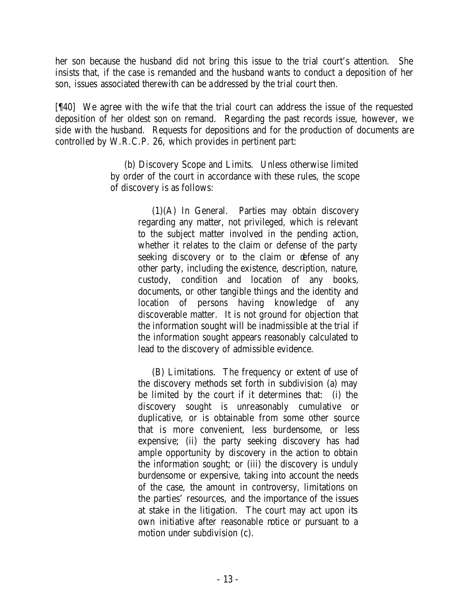her son because the husband did not bring this issue to the trial court's attention. She insists that, if the case is remanded and the husband wants to conduct a deposition of her son, issues associated therewith can be addressed by the trial court then.

[¶40] We agree with the wife that the trial court can address the issue of the requested deposition of her oldest son on remand. Regarding the past records issue, however, we side with the husband. Requests for depositions and for the production of documents are controlled by W.R.C.P. 26, which provides in pertinent part:

> (b) Discovery Scope and Limits. Unless otherwise limited by order of the court in accordance with these rules, the scope of discovery is as follows:

> > (1)(A) In General. Parties may obtain discovery regarding any matter, not privileged, which is relevant to the subject matter involved in the pending action, whether it relates to the claim or defense of the party seeking discovery or to the claim or defense of any other party, including the existence, description, nature, custody, condition and location of any books, documents, or other tangible things and the identity and location of persons having knowledge of any discoverable matter. It is not ground for objection that the information sought will be inadmissible at the trial if the information sought appears reasonably calculated to lead to the discovery of admissible evidence.

> > (B) Limitations. The frequency or extent of use of the discovery methods set forth in subdivision (a) may be limited by the court if it determines that: (i) the discovery sought is unreasonably cumulative or duplicative, or is obtainable from some other source that is more convenient, less burdensome, or less expensive; (ii) the party seeking discovery has had ample opportunity by discovery in the action to obtain the information sought; or (iii) the discovery is unduly burdensome or expensive, taking into account the needs of the case, the amount in controversy, limitations on the parties' resources, and the importance of the issues at stake in the litigation. The court may act upon its own initiative after reasonable notice or pursuant to a motion under subdivision (c).